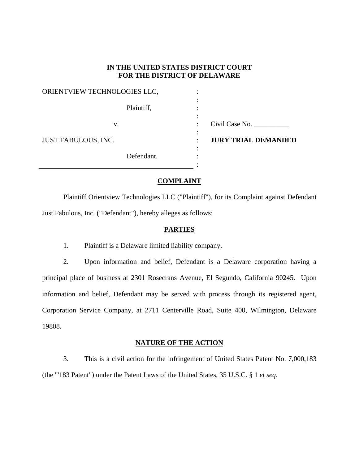### **IN THE UNITED STATES DISTRICT COURT FOR THE DISTRICT OF DELAWARE**

### ORIENTVIEW TECHNOLOGIES LLC,  $\hspace{1.5cm}$  :

Plaintiff,  $\qquad \qquad$ :

the contract of the contract of the contract of the contract of the contract of the contract of the contract of

the contract of the contract of the contract of the contract of the contract of the contract of the contract of

the contract of the contract of the contract of the contract of the contract of the contract of the contract of

the contract of the contract of the contract of the contract of the contract of the contract of the contract of

JUST FABULOUS, INC.  $\qquad \qquad :$ 

Defendant.

v. Civil Case No.

**JURY TRIAL DEMANDED**

## **COMPLAINT**

:

 Plaintiff Orientview Technologies LLC ("Plaintiff"), for its Complaint against Defendant Just Fabulous, Inc. ("Defendant"), hereby alleges as follows:

## **PARTIES**

1. Plaintiff is a Delaware limited liability company.

2. Upon information and belief, Defendant is a Delaware corporation having a principal place of business at 2301 Rosecrans Avenue, El Segundo, California 90245. Upon information and belief, Defendant may be served with process through its registered agent, Corporation Service Company, at 2711 Centerville Road, Suite 400, Wilmington, Delaware 19808.

## **NATURE OF THE ACTION**

3. This is a civil action for the infringement of United States Patent No. 7,000,183 (the "'183 Patent") under the Patent Laws of the United States, 35 U.S.C. § 1 *et seq*.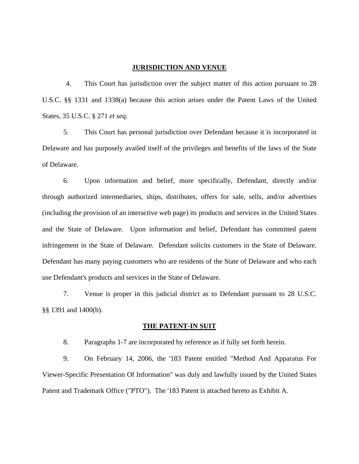#### **JURISDICTION AND VENUE**

4. This Court has jurisdiction over the subject matter of this action pursuant to 28 U.S.C. §§ 1331 and 1338(a) because this action arises under the Patent Laws of the United States, 35 U.S.C. § 271 *et seq.*

5. This Court has personal jurisdiction over Defendant because it is incorporated in Delaware and has purposely availed itself of the privileges and benefits of the laws of the State of Delaware.

6. Upon information and belief, more specifically, Defendant, directly and/or through authorized intermediaries, ships, distributes, offers for sale, sells, and/or advertises (including the provision of an interactive web page) its products and services in the United States and the State of Delaware. Upon information and belief, Defendant has committed patent infringement in the State of Delaware. Defendant solicits customers in the State of Delaware. Defendant has many paying customers who are residents of the State of Delaware and who each use Defendant's products and services in the State of Delaware.

7. Venue is proper in this judicial district as to Defendant pursuant to 28 U.S.C. §§ 1391 and 1400(b).

### **THE PATENT-IN SUIT**

8. Paragraphs 1-7 are incorporated by reference as if fully set forth herein.

9. On February 14, 2006, the '183 Patent entitled "Method And Apparatus For Viewer-Specific Presentation Of Information" was duly and lawfully issued by the United States Patent and Trademark Office ("PTO"). The '183 Patent is attached hereto as Exhibit A.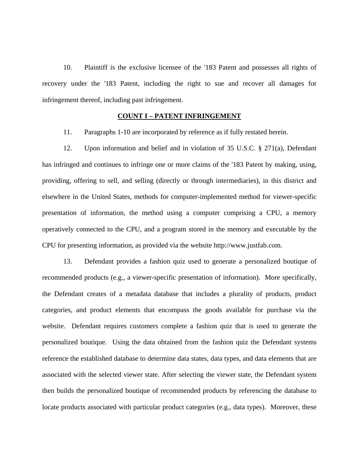10. Plaintiff is the exclusive licensee of the '183 Patent and possesses all rights of recovery under the '183 Patent, including the right to sue and recover all damages for infringement thereof, including past infringement.

### **COUNT I – PATENT INFRINGEMENT**

11. Paragraphs 1-10 are incorporated by reference as if fully restated herein.

12. Upon information and belief and in violation of 35 U.S.C. § 271(a), Defendant has infringed and continues to infringe one or more claims of the '183 Patent by making, using, providing, offering to sell, and selling (directly or through intermediaries), in this district and elsewhere in the United States, methods for computer-implemented method for viewer-specific presentation of information, the method using a computer comprising a CPU, a memory operatively connected to the CPU, and a program stored in the memory and executable by the CPU for presenting information, as provided via the website http://www.justfab.com.

13. Defendant provides a fashion quiz used to generate a personalized boutique of recommended products (e.g., a viewer-specific presentation of information). More specifically, the Defendant creates of a metadata database that includes a plurality of products, product categories, and product elements that encompass the goods available for purchase via the website. Defendant requires customers complete a fashion quiz that is used to generate the personalized boutique. Using the data obtained from the fashion quiz the Defendant systems reference the established database to determine data states, data types, and data elements that are associated with the selected viewer state. After selecting the viewer state, the Defendant system then builds the personalized boutique of recommended products by referencing the database to locate products associated with particular product categories (e.g., data types). Moreover, these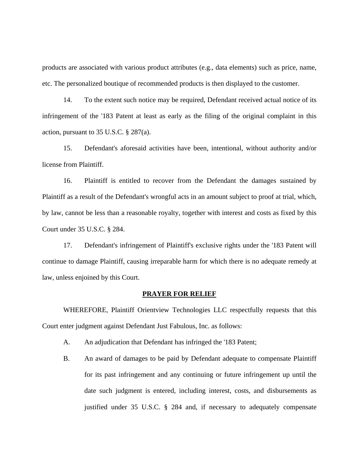products are associated with various product attributes (e.g., data elements) such as price, name, etc. The personalized boutique of recommended products is then displayed to the customer.

14. To the extent such notice may be required, Defendant received actual notice of its infringement of the '183 Patent at least as early as the filing of the original complaint in this action, pursuant to 35 U.S.C. § 287(a).

15. Defendant's aforesaid activities have been, intentional, without authority and/or license from Plaintiff.

16. Plaintiff is entitled to recover from the Defendant the damages sustained by Plaintiff as a result of the Defendant's wrongful acts in an amount subject to proof at trial, which, by law, cannot be less than a reasonable royalty, together with interest and costs as fixed by this Court under 35 U.S.C. § 284.

17. Defendant's infringement of Plaintiff's exclusive rights under the '183 Patent will continue to damage Plaintiff, causing irreparable harm for which there is no adequate remedy at law, unless enjoined by this Court.

#### **PRAYER FOR RELIEF**

 WHEREFORE, Plaintiff Orientview Technologies LLC respectfully requests that this Court enter judgment against Defendant Just Fabulous, Inc. as follows:

- A. An adjudication that Defendant has infringed the '183 Patent;
- B. An award of damages to be paid by Defendant adequate to compensate Plaintiff for its past infringement and any continuing or future infringement up until the date such judgment is entered, including interest, costs, and disbursements as justified under 35 U.S.C. § 284 and, if necessary to adequately compensate